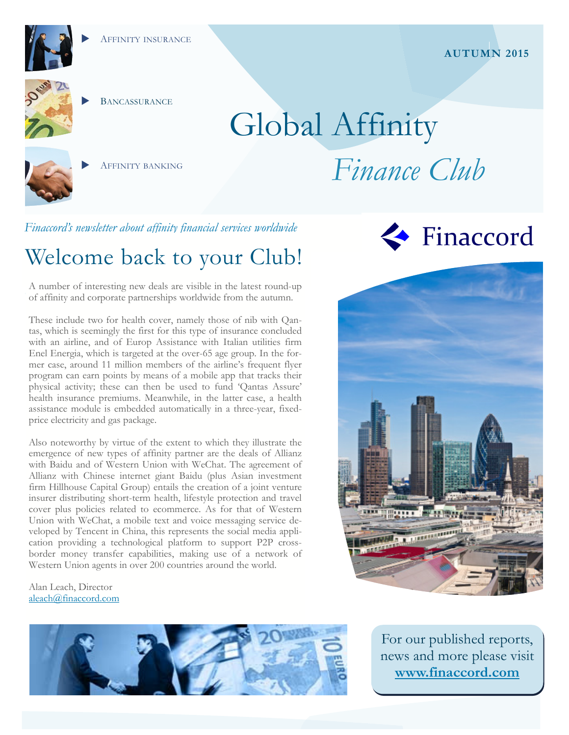

**BANCASSURANCE** 

AFFINITY BANKING

# Global Affinity *Finance Club*

*Finaccord's newsletter about affinity financial services worldwide* 

## Welcome back to your Club!

A number of interesting new deals are visible in the latest round-up of affinity and corporate partnerships worldwide from the autumn.

These include two for health cover, namely those of nib with Qantas, which is seemingly the first for this type of insurance concluded with an airline, and of Europ Assistance with Italian utilities firm Enel Energia, which is targeted at the over-65 age group. In the former case, around 11 million members of the airline's frequent flyer program can earn points by means of a mobile app that tracks their physical activity; these can then be used to fund 'Qantas Assure' health insurance premiums. Meanwhile, in the latter case, a health assistance module is embedded automatically in a three-year, fixedprice electricity and gas package.

Also noteworthy by virtue of the extent to which they illustrate the emergence of new types of affinity partner are the deals of Allianz with Baidu and of Western Union with WeChat. The agreement of Allianz with Chinese internet giant Baidu (plus Asian investment firm Hillhouse Capital Group) entails the creation of a joint venture insurer distributing short-term health, lifestyle protection and travel cover plus policies related to ecommerce. As for that of Western Union with WeChat, a mobile text and voice messaging service developed by Tencent in China, this represents the social media application providing a technological platform to support P2P crossborder money transfer capabilities, making use of a network of Western Union agents in over 200 countries around the world.

Alan Leach, Director aleach@finaccord.com









For our published reports, news and more please visit **www.finaccord.com**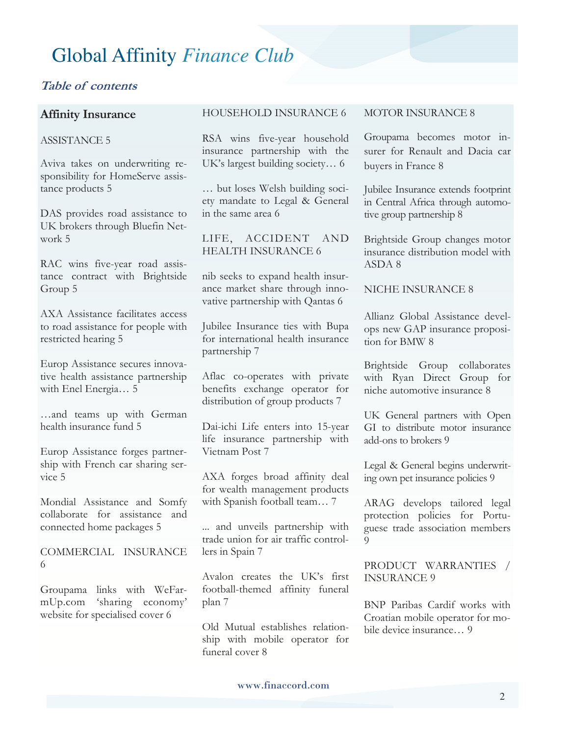#### **Table of contents**

#### **Affinity Insurance**

#### ASSISTANCE 5

Aviva takes on underwriting responsibility for HomeServe assistance products 5

DAS provides road assistance to UK brokers through Bluefin Network 5

RAC wins five-year road assistance contract with Brightside Group 5

AXA Assistance facilitates access to road assistance for people with restricted hearing 5

Europ Assistance secures innovative health assistance partnership with Enel Energia… 5

…and teams up with German health insurance fund 5

Europ Assistance forges partnership with French car sharing service 5

Mondial Assistance and Somfy collaborate for assistance and connected home packages 5

COMMERCIAL INSURANCE 6

Groupama links with WeFarmUp.com 'sharing economy' website for specialised cover 6

#### HOUSEHOLD INSURANCE 6

RSA wins five-year household insurance partnership with the UK's largest building society… 6

… but loses Welsh building society mandate to Legal & General in the same area 6

LIFE, ACCIDENT AND HEALTH INSURANCE 6

nib seeks to expand health insurance market share through innovative partnership with Qantas 6

Jubilee Insurance ties with Bupa for international health insurance partnership 7

Aflac co-operates with private benefits exchange operator for distribution of group products 7

Dai-ichi Life enters into 15-year life insurance partnership with Vietnam Post 7

AXA forges broad affinity deal for wealth management products with Spanish football team… 7

... and unveils partnership with trade union for air traffic controllers in Spain 7

Avalon creates the UK's first football-themed affinity funeral plan 7

Old Mutual establishes relationship with mobile operator for funeral cover 8

#### MOTOR INSURANCE 8

Groupama becomes motor insurer for Renault and Dacia car buyers in France 8

Jubilee Insurance extends footprint in Central Africa through automotive group partnership 8

Brightside Group changes motor insurance distribution model with ASDA 8

NICHE INSURANCE 8

Allianz Global Assistance develops new GAP insurance proposition for BMW 8

Brightside Group collaborates with Ryan Direct Group for niche automotive insurance 8

UK General partners with Open GI to distribute motor insurance add-ons to brokers 9

Legal & General begins underwriting own pet insurance policies 9

ARAG develops tailored legal protection policies for Portuguese trade association members  $\overline{Q}$ 

PRODUCT WARRANTIES / INSURANCE 9

BNP Paribas Cardif works with Croatian mobile operator for mobile device insurance… 9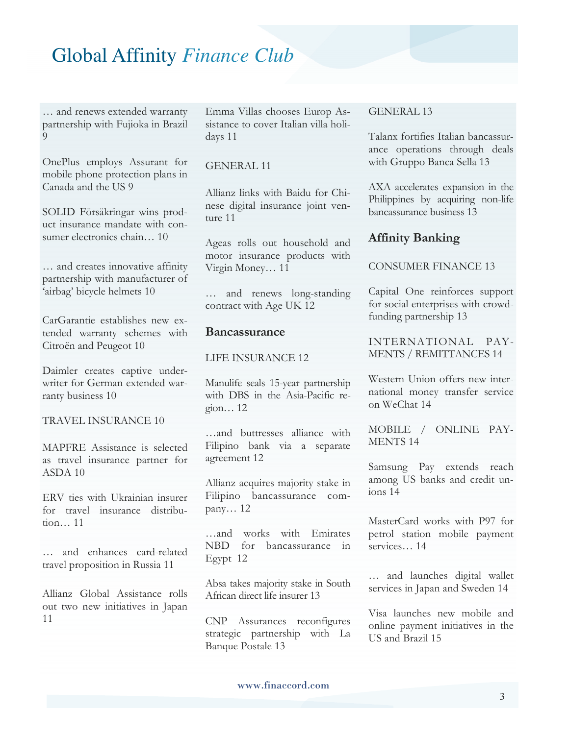… and renews extended warranty partnership with Fujioka in Brazil  $\Omega$ 

OnePlus employs Assurant for mobile phone protection plans in Canada and the US 9

SOLID Försäkringar wins product insurance mandate with consumer electronics chain 10

… and creates innovative affinity partnership with manufacturer of 'airbag' bicycle helmets 10

CarGarantie establishes new extended warranty schemes with Citroën and Peugeot 10

Daimler creates captive underwriter for German extended warranty business 10

#### TRAVEL INSURANCE 10

MAPFRE Assistance is selected as travel insurance partner for ASDA 10

ERV ties with Ukrainian insurer for travel insurance distribution… 11

… and enhances card-related travel proposition in Russia 11

Allianz Global Assistance rolls out two new initiatives in Japan 11

Emma Villas chooses Europ Assistance to cover Italian villa holidays 11

#### GENERAL 11

Allianz links with Baidu for Chinese digital insurance joint venture 11

Ageas rolls out household and motor insurance products with Virgin Money… 11

… and renews long-standing contract with Age UK 12

#### **Bancassurance**

LIFE INSURANCE 12

Manulife seals 15-year partnership with DBS in the Asia-Pacific region… 12

…and buttresses alliance with Filipino bank via a separate agreement 12

Allianz acquires majority stake in Filipino bancassurance company… 12

…and works with Emirates NBD for bancassurance in Egypt 12

Absa takes majority stake in South African direct life insurer 13

CNP Assurances reconfigures strategic partnership with La Banque Postale 13

#### GENERAL 13

Talanx fortifies Italian bancassurance operations through deals with Gruppo Banca Sella 13

AXA accelerates expansion in the Philippines by acquiring non-life bancassurance business 13

#### **Affinity Banking**

#### CONSUMER FINANCE 13

Capital One reinforces support for social enterprises with crowdfunding partnership 13

INTERNATIONAL PAY-MENTS / REMITTANCES 14

Western Union offers new international money transfer service on WeChat 14

MOBILE / ONLINE PAY-MENTS 14

Samsung Pay extends reach among US banks and credit unions 14

MasterCard works with P97 for petrol station mobile payment services… 14

… and launches digital wallet services in Japan and Sweden 14

Visa launches new mobile and online payment initiatives in the US and Brazil 15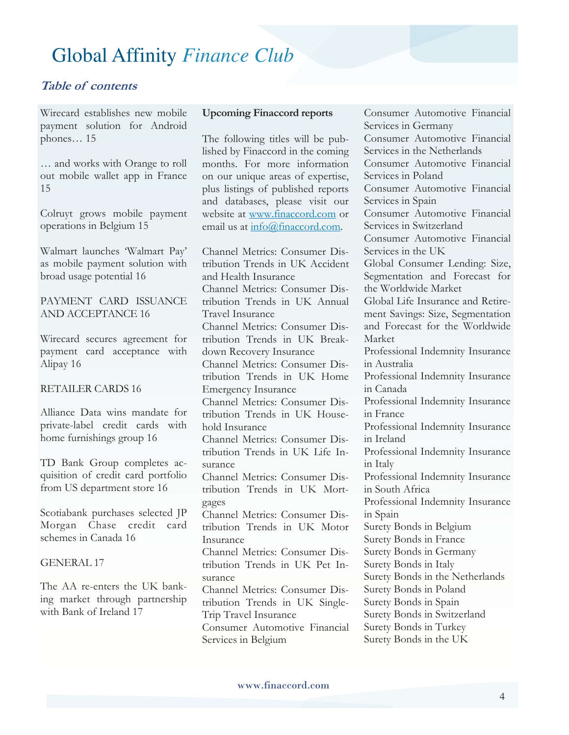#### **Table of contents**

Wirecard establishes new mobile payment solution for Android phones… 15

… and works with Orange to roll out mobile wallet app in France 15

Colruyt grows mobile payment operations in Belgium 15

Walmart launches 'Walmart Pay' as mobile payment solution with broad usage potential 16

#### PAYMENT CARD ISSUANCE AND ACCEPTANCE 16

Wirecard secures agreement for payment card acceptance with Alipay 16

#### RETAILER CARDS 16

Alliance Data wins mandate for private-label credit cards with home furnishings group 16

TD Bank Group completes acquisition of credit card portfolio from US department store 16

Scotiabank purchases selected JP Morgan Chase credit card schemes in Canada 16

#### GENERAL 17

The AA re-enters the UK banking market through partnership with Bank of Ireland 17

#### **Upcoming Finaccord reports**

The following titles will be published by Finaccord in the coming months. For more information on our unique areas of expertise, plus listings of published reports and databases, please visit our website at www.finaccord.com or email us at info@finaccord.com.

Channel Metrics: Consumer Distribution Trends in UK Accident and Health Insurance Channel Metrics: Consumer Distribution Trends in UK Annual Travel Insurance Channel Metrics: Consumer Distribution Trends in UK Breakdown Recovery Insurance Channel Metrics: Consumer Distribution Trends in UK Home Emergency Insurance Channel Metrics: Consumer Distribution Trends in UK Household Insurance Channel Metrics: Consumer Distribution Trends in UK Life Insurance Channel Metrics: Consumer Distribution Trends in UK Mortgages Channel Metrics: Consumer Distribution Trends in UK Motor Insurance Channel Metrics: Consumer Distribution Trends in UK Pet Insurance Channel Metrics: Consumer Distribution Trends in UK Single-Trip Travel Insurance Consumer Automotive Financial Services in Belgium

Consumer Automotive Financial Services in Germany Consumer Automotive Financial Services in the Netherlands Consumer Automotive Financial Services in Poland Consumer Automotive Financial Services in Spain Consumer Automotive Financial Services in Switzerland Consumer Automotive Financial Services in the UK Global Consumer Lending: Size, Segmentation and Forecast for the Worldwide Market Global Life Insurance and Retirement Savings: Size, Segmentation and Forecast for the Worldwide Market Professional Indemnity Insurance in Australia Professional Indemnity Insurance in Canada Professional Indemnity Insurance in France Professional Indemnity Insurance in Ireland Professional Indemnity Insurance in Italy Professional Indemnity Insurance in South Africa Professional Indemnity Insurance in Spain Surety Bonds in Belgium Surety Bonds in France Surety Bonds in Germany Surety Bonds in Italy Surety Bonds in the Netherlands Surety Bonds in Poland Surety Bonds in Spain Surety Bonds in Switzerland Surety Bonds in Turkey Surety Bonds in the UK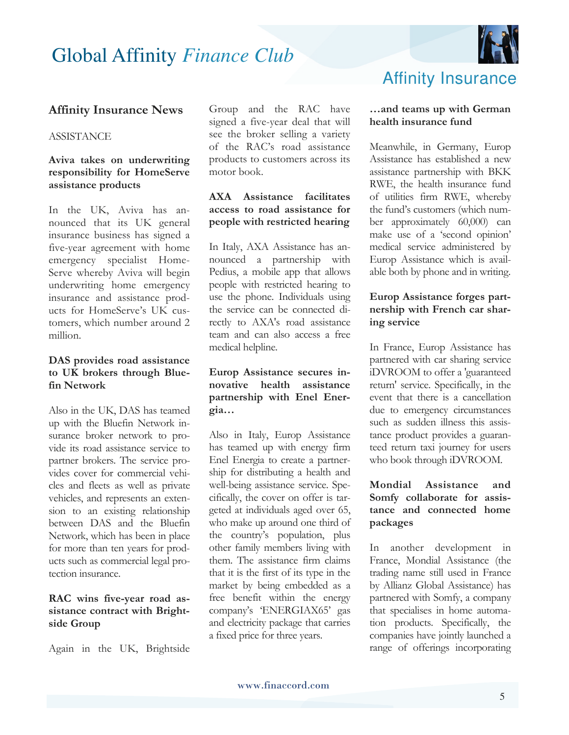

#### **Affinity Insurance News**

#### **ASSISTANCE**

#### **Aviva takes on underwriting responsibility for HomeServe assistance products**

In the UK, Aviva has announced that its UK general insurance business has signed a five-year agreement with home emergency specialist Home-Serve whereby Aviva will begin underwriting home emergency insurance and assistance products for HomeServe's UK customers, which number around 2 million.

#### **DAS provides road assistance to UK brokers through Bluefin Network**

Also in the UK, DAS has teamed up with the Bluefin Network insurance broker network to provide its road assistance service to partner brokers. The service provides cover for commercial vehicles and fleets as well as private vehicles, and represents an extension to an existing relationship between DAS and the Bluefin Network, which has been in place for more than ten years for products such as commercial legal protection insurance.

#### **RAC wins five-year road assistance contract with Brightside Group**

Again in the UK, Brightside

Group and the RAC have signed a five-year deal that will see the broker selling a variety of the RAC's road assistance products to customers across its motor book.

#### **AXA Assistance facilitates access to road assistance for people with restricted hearing**

In Italy, AXA Assistance has announced a partnership with Pedius, a mobile app that allows people with restricted hearing to use the phone. Individuals using the service can be connected directly to AXA's road assistance team and can also access a free medical helpline.

#### **Europ Assistance secures innovative health assistance partnership with Enel Energia…**

Also in Italy, Europ Assistance has teamed up with energy firm Enel Energia to create a partnership for distributing a health and well-being assistance service. Specifically, the cover on offer is targeted at individuals aged over 65, who make up around one third of the country's population, plus other family members living with them. The assistance firm claims that it is the first of its type in the market by being embedded as a free benefit within the energy company's 'ENERGIAX65' gas and electricity package that carries a fixed price for three years.

### Affinity Insurance

#### **…and teams up with German health insurance fund**

Meanwhile, in Germany, Europ Assistance has established a new assistance partnership with BKK RWE, the health insurance fund of utilities firm RWE, whereby the fund's customers (which number approximately 60,000) can make use of a 'second opinion' medical service administered by Europ Assistance which is available both by phone and in writing.

#### **Europ Assistance forges partnership with French car sharing service**

In France, Europ Assistance has partnered with car sharing service iDVROOM to offer a 'guaranteed return' service. Specifically, in the event that there is a cancellation due to emergency circumstances such as sudden illness this assistance product provides a guaranteed return taxi journey for users who book through iDVROOM.

#### **Mondial Assistance and Somfy collaborate for assistance and connected home packages**

In another development in France, Mondial Assistance (the trading name still used in France by Allianz Global Assistance) has partnered with Somfy, a company that specialises in home automation products. Specifically, the companies have jointly launched a range of offerings incorporating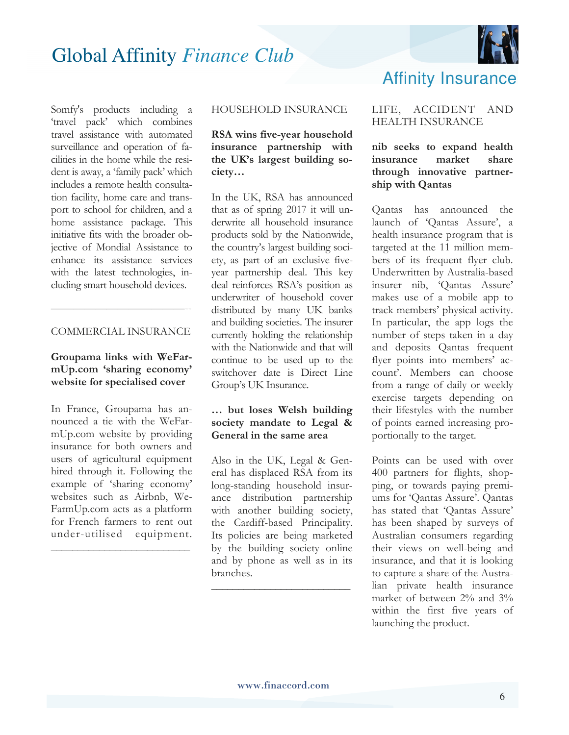

Somfy's products including a 'travel pack' which combines travel assistance with automated surveillance and operation of facilities in the home while the resident is away, a 'family pack' which includes a remote health consultation facility, home care and transport to school for children, and a home assistance package. This initiative fits with the broader objective of Mondial Assistance to enhance its assistance services with the latest technologies, including smart household devices.

#### COMMERCIAL INSURANCE

————————————--

#### **Groupama links with WeFarmUp.com 'sharing economy' website for specialised cover**

In France, Groupama has announced a tie with the WeFarmUp.com website by providing insurance for both owners and users of agricultural equipment hired through it. Following the example of 'sharing economy' websites such as Airbnb, We-FarmUp.com acts as a platform for French farmers to rent out under-utilised equipment.

**\_\_\_\_\_\_\_\_\_\_\_\_\_\_\_\_\_\_\_\_\_\_\_\_\_\_**

#### HOUSEHOLD INSURANCE

#### **RSA wins five-year household insurance partnership with the UK's largest building society…**

In the UK, RSA has announced that as of spring 2017 it will underwrite all household insurance products sold by the Nationwide, the country's largest building society, as part of an exclusive fiveyear partnership deal. This key deal reinforces RSA's position as underwriter of household cover distributed by many UK banks and building societies. The insurer currently holding the relationship with the Nationwide and that will continue to be used up to the switchover date is Direct Line Group's UK Insurance.

#### **… but loses Welsh building society mandate to Legal & General in the same area**

Also in the UK, Legal & General has displaced RSA from its long-standing household insurance distribution partnership with another building society, the Cardiff-based Principality. Its policies are being marketed by the building society online and by phone as well as in its branches.

**\_\_\_\_\_\_\_\_\_\_\_\_\_\_\_\_\_\_\_\_\_\_\_\_\_\_**

# Affinity Insurance

#### LIFE, ACCIDENT AND HEALTH INSURANCE

#### **nib seeks to expand health insurance market share through innovative partnership with Qantas**

Qantas has announced the launch of 'Qantas Assure', a health insurance program that is targeted at the 11 million members of its frequent flyer club. Underwritten by Australia-based insurer nib, 'Qantas Assure' makes use of a mobile app to track members' physical activity. In particular, the app logs the number of steps taken in a day and deposits Qantas frequent flyer points into members' account'. Members can choose from a range of daily or weekly exercise targets depending on their lifestyles with the number of points earned increasing proportionally to the target.

Points can be used with over 400 partners for flights, shopping, or towards paying premiums for 'Qantas Assure'. Qantas has stated that 'Qantas Assure' has been shaped by surveys of Australian consumers regarding their views on well-being and insurance, and that it is looking to capture a share of the Australian private health insurance market of between 2% and 3% within the first five years of launching the product.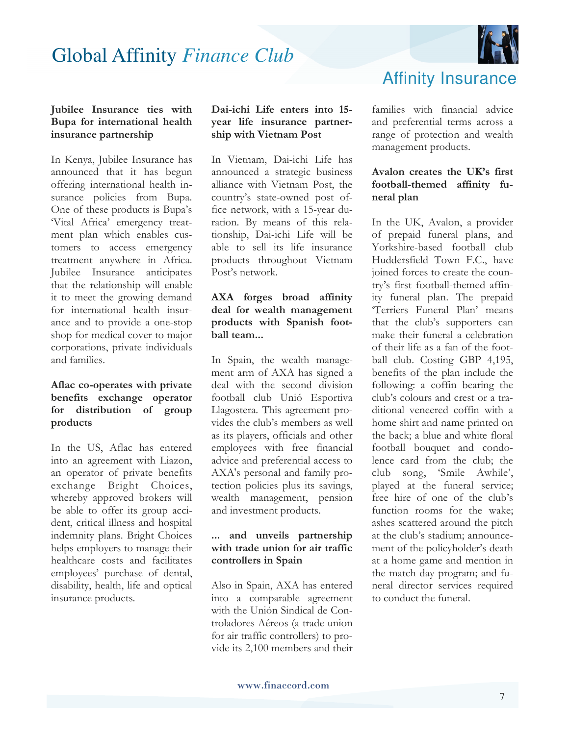

#### **Jubilee Insurance ties with Bupa for international health insurance partnership**

In Kenya, Jubilee Insurance has announced that it has begun offering international health insurance policies from Bupa. One of these products is Bupa's 'Vital Africa' emergency treatment plan which enables customers to access emergency treatment anywhere in Africa. Jubilee Insurance anticipates that the relationship will enable it to meet the growing demand for international health insurance and to provide a one-stop shop for medical cover to major corporations, private individuals and families.

#### **Aflac co-operates with private benefits exchange operator for distribution of group products**

In the US, Aflac has entered into an agreement with Liazon, an operator of private benefits exchange Bright Choices, whereby approved brokers will be able to offer its group accident, critical illness and hospital indemnity plans. Bright Choices helps employers to manage their healthcare costs and facilitates employees' purchase of dental, disability, health, life and optical insurance products.

#### **Dai-ichi Life enters into 15 year life insurance partnership with Vietnam Post**

In Vietnam, Dai-ichi Life has announced a strategic business alliance with Vietnam Post, the country's state-owned post office network, with a 15-year duration. By means of this relationship, Dai-ichi Life will be able to sell its life insurance products throughout Vietnam Post's network.

#### **AXA forges broad affinity deal for wealth management products with Spanish football team...**

In Spain, the wealth management arm of AXA has signed a deal with the second division football club Unió Esportiva Llagostera. This agreement provides the club's members as well as its players, officials and other employees with free financial advice and preferential access to AXA's personal and family protection policies plus its savings, wealth management, pension and investment products.

#### **... and unveils partnership with trade union for air traffic controllers in Spain**

Also in Spain, AXA has entered into a comparable agreement with the Unión Sindical de Controladores Aéreos (a trade union for air traffic controllers) to provide its 2,100 members and their Affinity Insurance

families with financial advice and preferential terms across a range of protection and wealth management products.

#### **Avalon creates the UK's first football-themed affinity funeral plan**

In the UK, Avalon, a provider of prepaid funeral plans, and Yorkshire-based football club Huddersfield Town F.C., have joined forces to create the country's first football-themed affinity funeral plan. The prepaid 'Terriers Funeral Plan' means that the club's supporters can make their funeral a celebration of their life as a fan of the football club. Costing GBP 4,195, benefits of the plan include the following: a coffin bearing the club's colours and crest or a traditional veneered coffin with a home shirt and name printed on the back; a blue and white floral football bouquet and condolence card from the club; the club song, 'Smile Awhile', played at the funeral service; free hire of one of the club's function rooms for the wake; ashes scattered around the pitch at the club's stadium; announcement of the policyholder's death at a home game and mention in the match day program; and funeral director services required to conduct the funeral.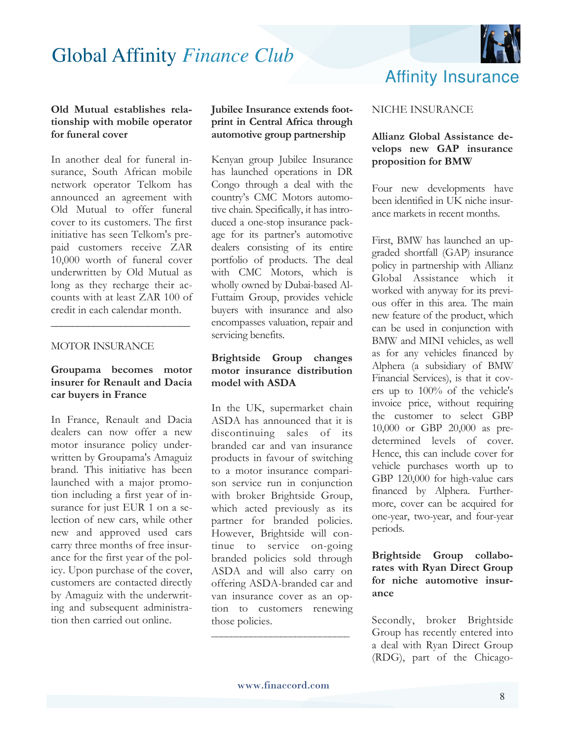

#### **Old Mutual establishes relationship with mobile operator for funeral cover**

In another deal for funeral insurance, South African mobile network operator Telkom has announced an agreement with Old Mutual to offer funeral cover to its customers. The first initiative has seen Telkom's prepaid customers receive ZAR 10,000 worth of funeral cover underwritten by Old Mutual as long as they recharge their accounts with at least ZAR 100 of credit in each calendar month.

#### MOTOR INSURANCE

#### **Groupama becomes motor insurer for Renault and Dacia car buyers in France**

**\_\_\_\_\_\_\_\_\_\_\_\_\_\_\_\_\_\_\_\_\_\_\_\_\_\_** 

In France, Renault and Dacia dealers can now offer a new motor insurance policy underwritten by Groupama's Amaguiz brand. This initiative has been launched with a major promotion including a first year of insurance for just EUR 1 on a selection of new cars, while other new and approved used cars carry three months of free insurance for the first year of the policy. Upon purchase of the cover, customers are contacted directly by Amaguiz with the underwriting and subsequent administration then carried out online.

**Jubilee Insurance extends footprint in Central Africa through automotive group partnership** 

Kenyan group Jubilee Insurance has launched operations in DR Congo through a deal with the country's CMC Motors automotive chain. Specifically, it has introduced a one-stop insurance package for its partner's automotive dealers consisting of its entire portfolio of products. The deal with CMC Motors, which is wholly owned by Dubai-based Al-Futtaim Group, provides vehicle buyers with insurance and also encompasses valuation, repair and servicing benefits.

#### **Brightside Group changes motor insurance distribution model with ASDA**

In the UK, supermarket chain ASDA has announced that it is discontinuing sales of its branded car and van insurance products in favour of switching to a motor insurance comparison service run in conjunction with broker Brightside Group, which acted previously as its partner for branded policies. However, Brightside will continue to service on-going branded policies sold through ASDA and will also carry on offering ASDA-branded car and van insurance cover as an option to customers renewing those policies.

#### NICHE INSURANCE

#### **Allianz Global Assistance develops new GAP insurance proposition for BMW**

Four new developments have been identified in UK niche insurance markets in recent months.

First, BMW has launched an upgraded shortfall (GAP) insurance policy in partnership with Allianz Global Assistance which it worked with anyway for its previous offer in this area. The main new feature of the product, which can be used in conjunction with BMW and MINI vehicles, as well as for any vehicles financed by Alphera (a subsidiary of BMW Financial Services), is that it covers up to 100% of the vehicle's invoice price, without requiring the customer to select GBP 10,000 or GBP 20,000 as predetermined levels of cover. Hence, this can include cover for vehicle purchases worth up to GBP 120,000 for high-value cars financed by Alphera. Furthermore, cover can be acquired for one-year, two-year, and four-year periods.

#### **Brightside Group collaborates with Ryan Direct Group for niche automotive insurance**

Secondly, broker Brightside Group has recently entered into a deal with Ryan Direct Group (RDG), part of the Chicago-

\_\_\_\_\_\_\_\_\_\_\_\_\_\_\_\_\_\_\_\_\_\_\_\_\_\_\_\_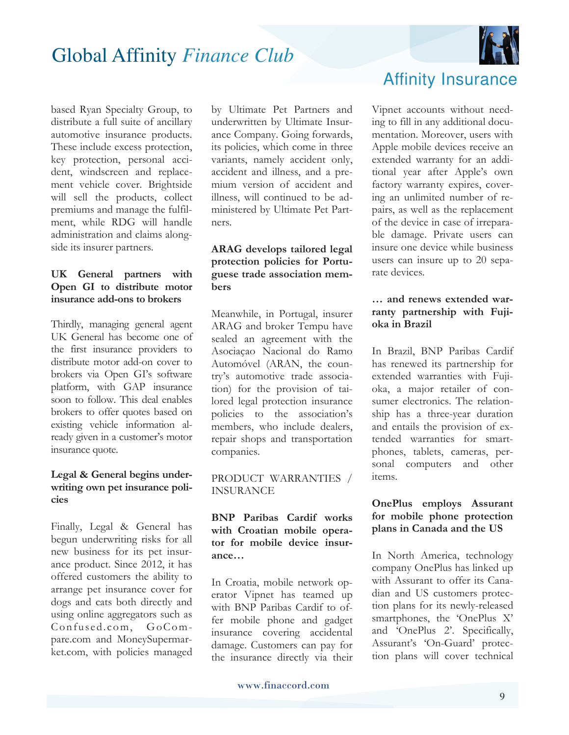

based Ryan Specialty Group, to distribute a full suite of ancillary automotive insurance products. These include excess protection, key protection, personal accident, windscreen and replacement vehicle cover. Brightside will sell the products, collect premiums and manage the fulfilment, while RDG will handle administration and claims alongside its insurer partners.

#### **UK General partners with Open GI to distribute motor insurance add-ons to brokers**

Thirdly, managing general agent UK General has become one of the first insurance providers to distribute motor add-on cover to brokers via Open GI's software platform, with GAP insurance soon to follow. This deal enables brokers to offer quotes based on existing vehicle information already given in a customer's motor insurance quote.

#### **Legal & General begins underwriting own pet insurance policies**

Finally, Legal & General has begun underwriting risks for all new business for its pet insurance product. Since 2012, it has offered customers the ability to arrange pet insurance cover for dogs and cats both directly and using online aggregators such as Confused.com, GoCompare.com and MoneySupermarket.com, with policies managed by Ultimate Pet Partners and underwritten by Ultimate Insurance Company. Going forwards, its policies, which come in three variants, namely accident only, accident and illness, and a premium version of accident and illness, will continued to be administered by Ultimate Pet Partners.

#### **ARAG develops tailored legal protection policies for Portuguese trade association members**

Meanwhile, in Portugal, insurer ARAG and broker Tempu have sealed an agreement with the Asociaçao Nacional do Ramo Automóvel (ARAN, the country's automotive trade association) for the provision of tailored legal protection insurance policies to the association's members, who include dealers, repair shops and transportation companies.

#### PRODUCT WARRANTIES / INSURANCE

**BNP Paribas Cardif works with Croatian mobile operator for mobile device insurance…** 

In Croatia, mobile network operator Vipnet has teamed up with BNP Paribas Cardif to offer mobile phone and gadget insurance covering accidental damage. Customers can pay for the insurance directly via their

### Affinity Insurance

Vipnet accounts without needing to fill in any additional documentation. Moreover, users with Apple mobile devices receive an extended warranty for an additional year after Apple's own factory warranty expires, covering an unlimited number of repairs, as well as the replacement of the device in case of irreparable damage. Private users can insure one device while business users can insure up to 20 separate devices.

#### **… and renews extended warranty partnership with Fujioka in Brazil**

In Brazil, BNP Paribas Cardif has renewed its partnership for extended warranties with Fujioka, a major retailer of consumer electronics. The relationship has a three-year duration and entails the provision of extended warranties for smartphones, tablets, cameras, personal computers and other items.

#### **OnePlus employs Assurant for mobile phone protection plans in Canada and the US**

In North America, technology company OnePlus has linked up with Assurant to offer its Canadian and US customers protection plans for its newly-released smartphones, the 'OnePlus X' and 'OnePlus 2'. Specifically, Assurant's 'On-Guard' protection plans will cover technical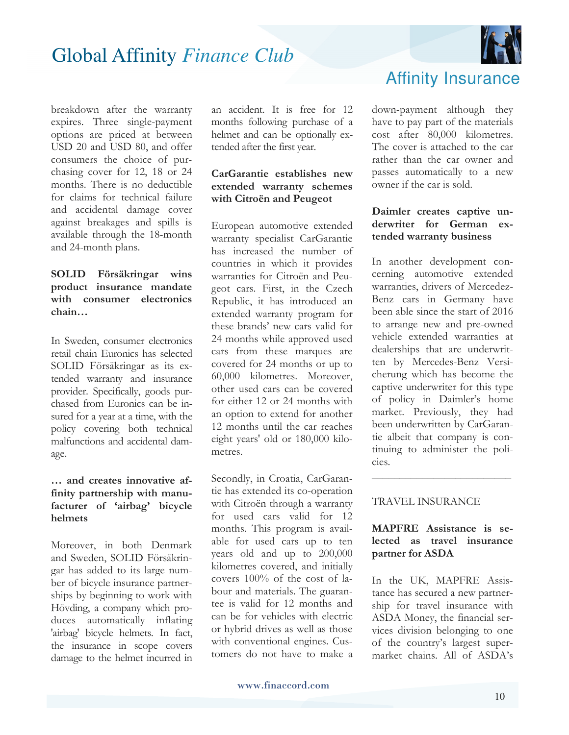

breakdown after the warranty expires. Three single-payment options are priced at between USD 20 and USD 80, and offer consumers the choice of purchasing cover for 12, 18 or 24 months. There is no deductible for claims for technical failure and accidental damage cover against breakages and spills is available through the 18-month and 24-month plans.

#### **SOLID Försäkringar wins product insurance mandate with consumer electronics chain…**

In Sweden, consumer electronics retail chain Euronics has selected SOLID Försäkringar as its extended warranty and insurance provider. Specifically, goods purchased from Euronics can be insured for a year at a time, with the policy covering both technical malfunctions and accidental damage.

#### **… and creates innovative affinity partnership with manufacturer of 'airbag' bicycle helmets**

Moreover, in both Denmark and Sweden, SOLID Försäkringar has added to its large number of bicycle insurance partnerships by beginning to work with Hövding, a company which produces automatically inflating 'airbag' bicycle helmets. In fact, the insurance in scope covers damage to the helmet incurred in an accident. It is free for 12 months following purchase of a helmet and can be optionally extended after the first year.

#### **CarGarantie establishes new extended warranty schemes with Citroën and Peugeot**

European automotive extended warranty specialist CarGarantie has increased the number of countries in which it provides warranties for Citroën and Peugeot cars. First, in the Czech Republic, it has introduced an extended warranty program for these brands' new cars valid for 24 months while approved used cars from these marques are covered for 24 months or up to 60,000 kilometres. Moreover, other used cars can be covered for either 12 or 24 months with an option to extend for another 12 months until the car reaches eight years' old or 180,000 kilometres.

Secondly, in Croatia, CarGarantie has extended its co-operation with Citroën through a warranty for used cars valid for 12 months. This program is available for used cars up to ten years old and up to 200,000 kilometres covered, and initially covers 100% of the cost of labour and materials. The guarantee is valid for 12 months and can be for vehicles with electric or hybrid drives as well as those with conventional engines. Customers do not have to make a

### Affinity Insurance

down-payment although they have to pay part of the materials cost after 80,000 kilometres. The cover is attached to the car rather than the car owner and passes automatically to a new owner if the car is sold.

#### **Daimler creates captive underwriter for German extended warranty business**

In another development concerning automotive extended warranties, drivers of Mercedez-Benz cars in Germany have been able since the start of 2016 to arrange new and pre-owned vehicle extended warranties at dealerships that are underwritten by Mercedes-Benz Versicherung which has become the captive underwriter for this type of policy in Daimler's home market. Previously, they had been underwritten by CarGarantie albeit that company is continuing to administer the policies.

#### TRAVEL INSURANCE

#### **MAPFRE Assistance is selected as travel insurance partner for ASDA**

\_\_\_\_\_\_\_\_\_\_\_\_\_\_\_\_\_\_\_\_\_\_\_\_\_

In the UK, MAPFRE Assistance has secured a new partnership for travel insurance with ASDA Money, the financial services division belonging to one of the country's largest supermarket chains. All of ASDA's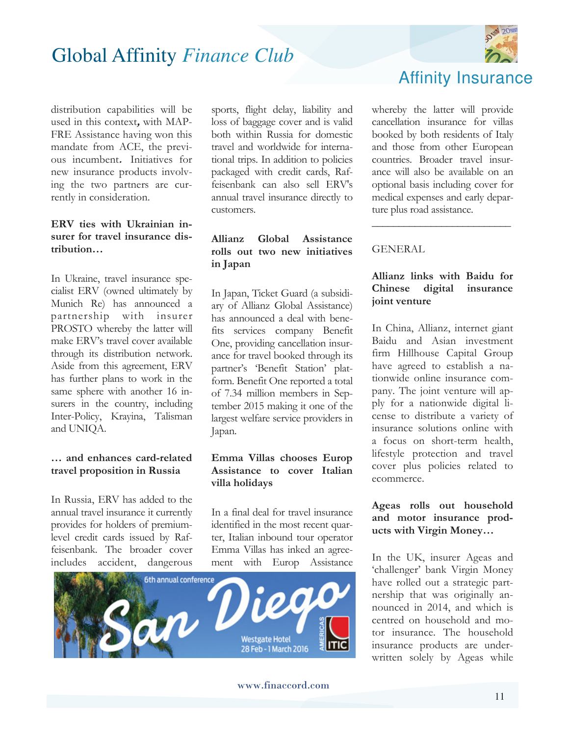

distribution capabilities will be used in this context**,** with MAP-FRE Assistance having won this mandate from ACE, the previous incumbent**.** Initiatives for new insurance products involving the two partners are currently in consideration.

#### **ERV ties with Ukrainian insurer for travel insurance distribution…**

In Ukraine, travel insurance specialist ERV (owned ultimately by Munich Re) has announced a partnership with insurer PROSTO whereby the latter will make ERV's travel cover available through its distribution network. Aside from this agreement, ERV has further plans to work in the same sphere with another 16 insurers in the country, including Inter-Policy, Krayina, Talisman and UNIQA.

#### **… and enhances card-related travel proposition in Russia**

In Russia, ERV has added to the annual travel insurance it currently provides for holders of premiumlevel credit cards issued by Raffeisenbank. The broader cover includes accident, dangerous

sports, flight delay, liability and loss of baggage cover and is valid both within Russia for domestic travel and worldwide for international trips. In addition to policies packaged with credit cards, Raffeisenbank can also sell ERV's annual travel insurance directly to customers.

#### **Allianz Global Assistance rolls out two new initiatives in Japan**

In Japan, Ticket Guard (a subsidiary of Allianz Global Assistance) has announced a deal with benefits services company Benefit One, providing cancellation insurance for travel booked through its partner's 'Benefit Station' platform. Benefit One reported a total of 7.34 million members in September 2015 making it one of the largest welfare service providers in Japan.

#### **Emma Villas chooses Europ Assistance to cover Italian villa holidays**

In a final deal for travel insurance identified in the most recent quarter, Italian inbound tour operator Emma Villas has inked an agreement with Europ Assistance



whereby the latter will provide cancellation insurance for villas booked by both residents of Italy and those from other European countries. Broader travel insurance will also be available on an optional basis including cover for medical expenses and early departure plus road assistance.

\_\_\_\_\_\_\_\_\_\_\_\_\_\_\_\_\_\_\_\_\_\_\_\_\_\_

#### GENERAL

#### **Allianz links with Baidu for Chinese digital insurance joint venture**

In China, Allianz, internet giant Baidu and Asian investment firm Hillhouse Capital Group have agreed to establish a nationwide online insurance company. The joint venture will apply for a nationwide digital license to distribute a variety of insurance solutions online with a focus on short-term health, lifestyle protection and travel cover plus policies related to ecommerce.

#### **Ageas rolls out household and motor insurance products with Virgin Money…**

In the UK, insurer Ageas and 'challenger' bank Virgin Money have rolled out a strategic partnership that was originally announced in 2014, and which is centred on household and motor insurance. The household insurance products are underwritten solely by Ageas while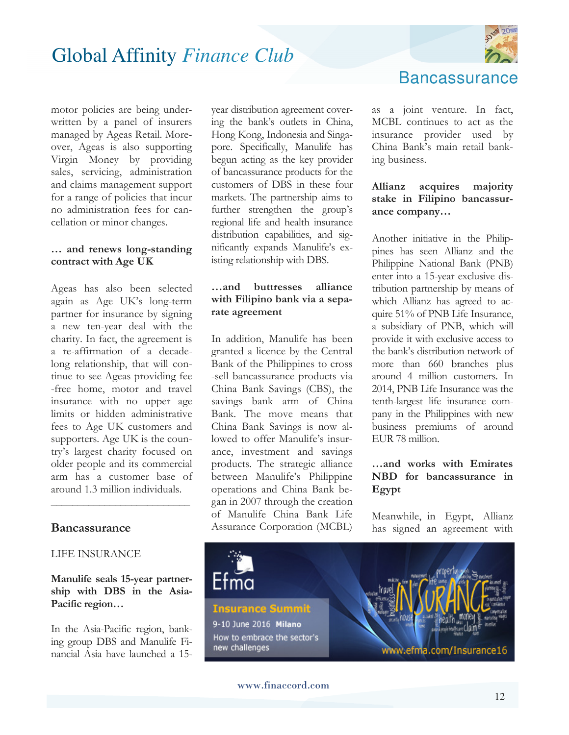

motor policies are being underwritten by a panel of insurers managed by Ageas Retail. Moreover, Ageas is also supporting Virgin Money by providing sales, servicing, administration and claims management support for a range of policies that incur no administration fees for cancellation or minor changes.

#### **… and renews long-standing contract with Age UK**

Ageas has also been selected again as Age UK's long-term partner for insurance by signing a new ten-year deal with the charity. In fact, the agreement is a re-affirmation of a decadelong relationship, that will continue to see Ageas providing fee -free home, motor and travel insurance with no upper age limits or hidden administrative fees to Age UK customers and supporters. Age UK is the country's largest charity focused on older people and its commercial arm has a customer base of around 1.3 million individuals.

#### **Bancassurance**

#### LIFE INSURANCE

#### **Manulife seals 15-year partnership with DBS in the Asia-Pacific region…**

\_\_\_\_\_\_\_\_\_\_\_\_\_\_\_\_\_\_\_\_\_\_\_\_\_\_

In the Asia-Pacific region, banking group DBS and Manulife Financial Asia have launched a 15year distribution agreement covering the bank's outlets in China, Hong Kong, Indonesia and Singapore. Specifically, Manulife has begun acting as the key provider of bancassurance products for the customers of DBS in these four markets. The partnership aims to further strengthen the group's regional life and health insurance distribution capabilities, and significantly expands Manulife's existing relationship with DBS.

#### **…and buttresses alliance with Filipino bank via a separate agreement**

In addition, Manulife has been granted a licence by the Central Bank of the Philippines to cross -sell bancassurance products via China Bank Savings (CBS), the savings bank arm of China Bank. The move means that China Bank Savings is now allowed to offer Manulife's insurance, investment and savings products. The strategic alliance between Manulife's Philippine operations and China Bank began in 2007 through the creation of Manulife China Bank Life Assurance Corporation (MCBL)

**Bancassurance** 

as a joint venture. In fact, MCBL continues to act as the insurance provider used by China Bank's main retail banking business.

#### **Allianz acquires majority stake in Filipino bancassurance company…**

Another initiative in the Philippines has seen Allianz and the Philippine National Bank (PNB) enter into a 15-year exclusive distribution partnership by means of which Allianz has agreed to acquire 51% of PNB Life Insurance, a subsidiary of PNB, which will provide it with exclusive access to the bank's distribution network of more than 660 branches plus around 4 million customers. In 2014, PNB Life Insurance was the tenth-largest life insurance company in the Philippines with new business premiums of around EUR 78 million.

#### **…and works with Emirates NBD for bancassurance in Egypt**

Meanwhile, in Egypt, Allianz has signed an agreement with

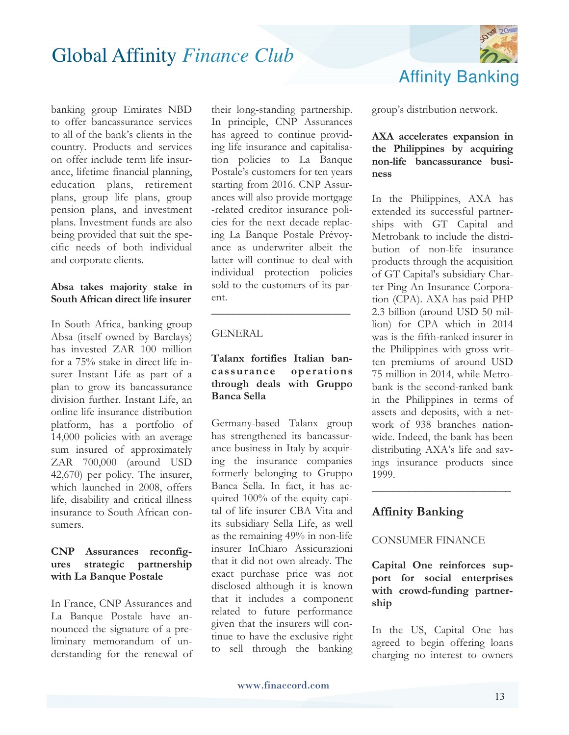

banking group Emirates NBD to offer bancassurance services to all of the bank's clients in the country. Products and services on offer include term life insurance, lifetime financial planning, education plans, retirement plans, group life plans, group pension plans, and investment plans. Investment funds are also being provided that suit the specific needs of both individual and corporate clients.

#### **Absa takes majority stake in South African direct life insurer**

In South Africa, banking group Absa (itself owned by Barclays) has invested ZAR 100 million for a 75% stake in direct life insurer Instant Life as part of a plan to grow its bancassurance division further. Instant Life, an online life insurance distribution platform, has a portfolio of 14,000 policies with an average sum insured of approximately ZAR 700,000 (around USD 42,670) per policy. The insurer, which launched in 2008, offers life, disability and critical illness insurance to South African consumers.

#### **CNP Assurances reconfigures strategic partnership with La Banque Postale**

In France, CNP Assurances and La Banque Postale have announced the signature of a preliminary memorandum of understanding for the renewal of

their long-standing partnership. In principle, CNP Assurances has agreed to continue providing life insurance and capitalisation policies to La Banque Postale's customers for ten years starting from 2016. CNP Assurances will also provide mortgage -related creditor insurance policies for the next decade replacing La Banque Postale Prévoyance as underwriter albeit the latter will continue to deal with individual protection policies sold to the customers of its parent.

#### GENERAL

#### **Talanx fortifies Italian bancassurance operations through deals with Gruppo Banca Sella**

**\_\_\_\_\_\_\_\_\_\_\_\_\_\_\_\_\_\_\_\_\_\_\_\_\_\_**

Germany-based Talanx group has strengthened its bancassurance business in Italy by acquiring the insurance companies formerly belonging to Gruppo Banca Sella. In fact, it has acquired 100% of the equity capital of life insurer CBA Vita and its subsidiary Sella Life, as well as the remaining 49% in non-life insurer InChiaro Assicurazioni that it did not own already. The exact purchase price was not disclosed although it is known that it includes a component related to future performance given that the insurers will continue to have the exclusive right to sell through the banking group's distribution network.

#### **AXA accelerates expansion in the Philippines by acquiring non-life bancassurance business**

In the Philippines, AXA has extended its successful partnerships with GT Capital and Metrobank to include the distribution of non-life insurance products through the acquisition of GT Capital's subsidiary Charter Ping An Insurance Corporation (CPA). AXA has paid PHP 2.3 billion (around USD 50 million) for CPA which in 2014 was is the fifth-ranked insurer in the Philippines with gross written premiums of around USD 75 million in 2014, while Metrobank is the second-ranked bank in the Philippines in terms of assets and deposits, with a network of 938 branches nationwide. Indeed, the bank has been distributing AXA's life and savings insurance products since 1999.

#### **Affinity Banking**

#### CONSUMER FINANCE

**Capital One reinforces support for social enterprises with crowd-funding partnership** 

**\_\_\_\_\_\_\_\_\_\_\_\_\_\_\_\_\_\_\_\_\_\_\_\_\_\_**

In the US, Capital One has agreed to begin offering loans charging no interest to owners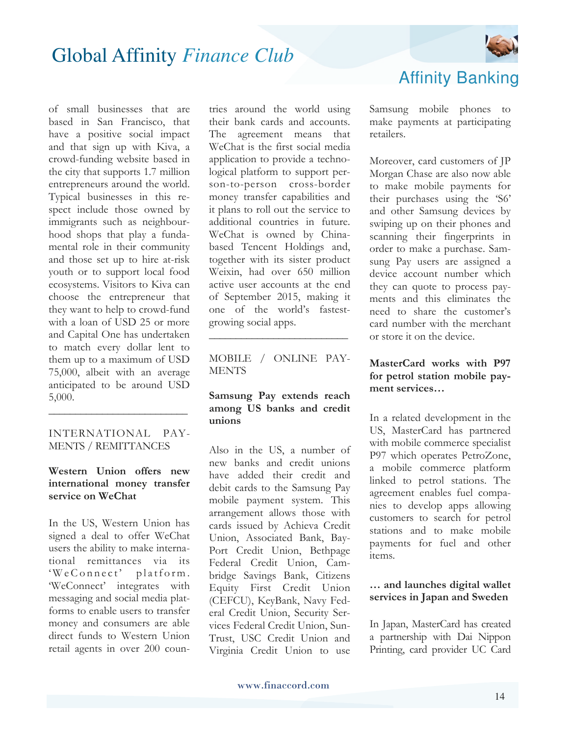

of small businesses that are based in San Francisco, that have a positive social impact and that sign up with Kiva, a crowd-funding website based in the city that supports 1.7 million entrepreneurs around the world. Typical businesses in this respect include those owned by immigrants such as neighbourhood shops that play a fundamental role in their community and those set up to hire at-risk youth or to support local food ecosystems. Visitors to Kiva can choose the entrepreneur that they want to help to crowd-fund with a loan of USD 25 or more and Capital One has undertaken to match every dollar lent to them up to a maximum of USD 75,000, albeit with an average anticipated to be around USD 5,000.

#### INTERNATIONAL PAY-MENTS / REMITTANCES

**\_\_\_\_\_\_\_\_\_\_\_\_\_\_\_\_\_\_\_\_\_\_\_\_\_\_**

#### **Western Union offers new international money transfer service on WeChat**

In the US, Western Union has signed a deal to offer WeChat users the ability to make international remittances via its  $W e$  Connect' platform. 'WeConnect' integrates with messaging and social media platforms to enable users to transfer money and consumers are able direct funds to Western Union retail agents in over 200 countries around the world using their bank cards and accounts. The agreement means that WeChat is the first social media application to provide a technological platform to support person-to-person cross-border money transfer capabilities and it plans to roll out the service to additional countries in future. WeChat is owned by Chinabased Tencent Holdings and, together with its sister product Weixin, had over 650 million active user accounts at the end of September 2015, making it one of the world's fastestgrowing social apps.

MOBILE / ONLINE PAY-**MENTS** 

**\_\_\_\_\_\_\_\_\_\_\_\_\_\_\_\_\_\_\_\_\_\_\_\_\_\_**

#### **Samsung Pay extends reach among US banks and credit unions**

Also in the US, a number of new banks and credit unions have added their credit and debit cards to the Samsung Pay mobile payment system. This arrangement allows those with cards issued by Achieva Credit Union, Associated Bank, Bay-Port Credit Union, Bethpage Federal Credit Union, Cambridge Savings Bank, Citizens Equity First Credit Union (CEFCU), KeyBank, Navy Federal Credit Union, Security Services Federal Credit Union, Sun-Trust, USC Credit Union and Virginia Credit Union to use Affinity Banking

Samsung mobile phones to make payments at participating retailers.

Moreover, card customers of JP Morgan Chase are also now able to make mobile payments for their purchases using the 'S6' and other Samsung devices by swiping up on their phones and scanning their fingerprints in order to make a purchase. Samsung Pay users are assigned a device account number which they can quote to process payments and this eliminates the need to share the customer's card number with the merchant or store it on the device.

#### **MasterCard works with P97 for petrol station mobile payment services…**

In a related development in the US, MasterCard has partnered with mobile commerce specialist P97 which operates PetroZone, a mobile commerce platform linked to petrol stations. The agreement enables fuel companies to develop apps allowing customers to search for petrol stations and to make mobile payments for fuel and other items.

#### **… and launches digital wallet services in Japan and Sweden**

In Japan, MasterCard has created a partnership with Dai Nippon Printing, card provider UC Card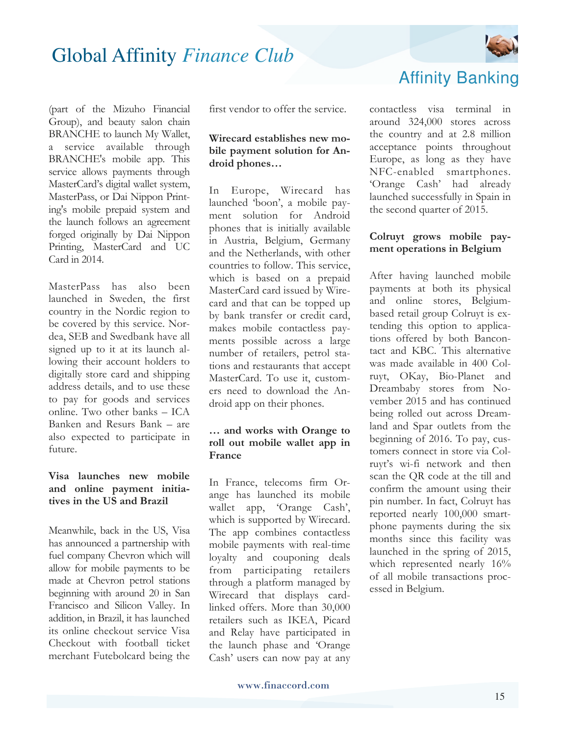

(part of the Mizuho Financial Group), and beauty salon chain BRANCHE to launch My Wallet, a service available through BRANCHE's mobile app. This service allows payments through MasterCard's digital wallet system, MasterPass, or Dai Nippon Printing's mobile prepaid system and the launch follows an agreement forged originally by Dai Nippon Printing, MasterCard and UC Card in 2014.

MasterPass has also been launched in Sweden, the first country in the Nordic region to be covered by this service. Nordea, SEB and Swedbank have all signed up to it at its launch allowing their account holders to digitally store card and shipping address details, and to use these to pay for goods and services online. Two other banks – ICA Banken and Resurs Bank – are also expected to participate in future.

#### **Visa launches new mobile and online payment initiatives in the US and Brazil**

Meanwhile, back in the US, Visa has announced a partnership with fuel company Chevron which will allow for mobile payments to be made at Chevron petrol stations beginning with around 20 in San Francisco and Silicon Valley. In addition, in Brazil, it has launched its online checkout service Visa Checkout with football ticket merchant Futebolcard being the first vendor to offer the service.

#### **Wirecard establishes new mobile payment solution for Android phones…**

In Europe, Wirecard has launched 'boon', a mobile payment solution for Android phones that is initially available in Austria, Belgium, Germany and the Netherlands, with other countries to follow. This service, which is based on a prepaid MasterCard card issued by Wirecard and that can be topped up by bank transfer or credit card, makes mobile contactless payments possible across a large number of retailers, petrol stations and restaurants that accept MasterCard. To use it, customers need to download the Android app on their phones.

#### **… and works with Orange to roll out mobile wallet app in France**

In France, telecoms firm Orange has launched its mobile wallet app, 'Orange Cash', which is supported by Wirecard. The app combines contactless mobile payments with real-time loyalty and couponing deals from participating retailers through a platform managed by Wirecard that displays cardlinked offers. More than 30,000 retailers such as IKEA, Picard and Relay have participated in the launch phase and 'Orange Cash' users can now pay at any Affinity Banking

contactless visa terminal in around 324,000 stores across the country and at 2.8 million acceptance points throughout Europe, as long as they have NFC-enabled smartphones. 'Orange Cash' had already launched successfully in Spain in the second quarter of 2015.

#### **Colruyt grows mobile payment operations in Belgium**

After having launched mobile payments at both its physical and online stores, Belgiumbased retail group Colruyt is extending this option to applications offered by both Bancontact and KBC. This alternative was made available in 400 Colruyt, OKay, Bio-Planet and Dreambaby stores from November 2015 and has continued being rolled out across Dreamland and Spar outlets from the beginning of 2016. To pay, customers connect in store via Colruyt's wi-fi network and then scan the QR code at the till and confirm the amount using their pin number. In fact, Colruyt has reported nearly 100,000 smartphone payments during the six months since this facility was launched in the spring of 2015, which represented nearly  $16\%$ of all mobile transactions processed in Belgium.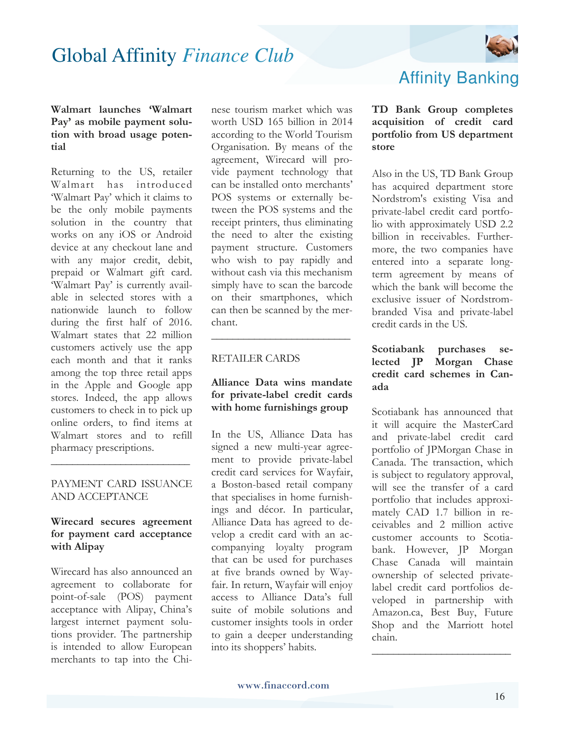

#### **Walmart launches 'Walmart Pay' as mobile payment solution with broad usage potential**

Returning to the US, retailer Walmart has introduced 'Walmart Pay' which it claims to be the only mobile payments solution in the country that works on any iOS or Android device at any checkout lane and with any major credit, debit, prepaid or Walmart gift card. 'Walmart Pay' is currently available in selected stores with a nationwide launch to follow during the first half of 2016. Walmart states that 22 million customers actively use the app each month and that it ranks among the top three retail apps in the Apple and Google app stores. Indeed, the app allows customers to check in to pick up online orders, to find items at Walmart stores and to refill pharmacy prescriptions.

#### PAYMENT CARD ISSUANCE AND ACCEPTANCE

**\_\_\_\_\_\_\_\_\_\_\_\_\_\_\_\_\_\_\_\_\_\_\_\_\_\_**

#### **Wirecard secures agreement for payment card acceptance with Alipay**

Wirecard has also announced an agreement to collaborate for point-of-sale (POS) payment acceptance with Alipay, China's largest internet payment solutions provider. The partnership is intended to allow European merchants to tap into the Chinese tourism market which was worth USD 165 billion in 2014 according to the World Tourism Organisation. By means of the agreement, Wirecard will provide payment technology that can be installed onto merchants' POS systems or externally between the POS systems and the receipt printers, thus eliminating the need to alter the existing payment structure. Customers who wish to pay rapidly and without cash via this mechanism simply have to scan the barcode on their smartphones, which can then be scanned by the merchant.

#### RETAILER CARDS

#### **Alliance Data wins mandate for private-label credit cards with home furnishings group**

**\_\_\_\_\_\_\_\_\_\_\_\_\_\_\_\_\_\_\_\_\_\_\_\_\_\_**

In the US, Alliance Data has signed a new multi-year agreement to provide private-label credit card services for Wayfair, a Boston-based retail company that specialises in home furnishings and décor. In particular, Alliance Data has agreed to develop a credit card with an accompanying loyalty program that can be used for purchases at five brands owned by Wayfair. In return, Wayfair will enjoy access to Alliance Data's full suite of mobile solutions and customer insights tools in order to gain a deeper understanding into its shoppers' habits.

### Affinity Banking

#### **TD Bank Group completes acquisition of credit card portfolio from US department store**

Also in the US, TD Bank Group has acquired department store Nordstrom's existing Visa and private-label credit card portfolio with approximately USD 2.2 billion in receivables. Furthermore, the two companies have entered into a separate longterm agreement by means of which the bank will become the exclusive issuer of Nordstrombranded Visa and private-label credit cards in the US.

#### **Scotiabank purchases selected JP Morgan Chase credit card schemes in Canada**

Scotiabank has announced that it will acquire the MasterCard and private-label credit card portfolio of JPMorgan Chase in Canada. The transaction, which is subject to regulatory approval, will see the transfer of a card portfolio that includes approximately CAD 1.7 billion in receivables and 2 million active customer accounts to Scotiabank. However, JP Morgan Chase Canada will maintain ownership of selected privatelabel credit card portfolios developed in partnership with Amazon.ca, Best Buy, Future Shop and the Marriott hotel chain.

**\_\_\_\_\_\_\_\_\_\_\_\_\_\_\_\_\_\_\_\_\_\_\_\_\_\_**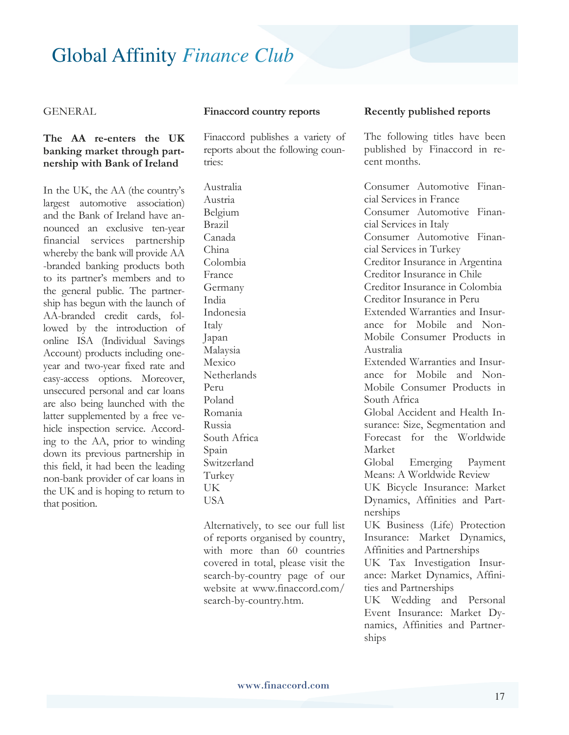#### GENERAL

#### **The AA re-enters the UK banking market through partnership with Bank of Ireland**

In the UK, the AA (the country's largest automotive association) and the Bank of Ireland have announced an exclusive ten-year financial services partnership whereby the bank will provide AA -branded banking products both to its partner's members and to the general public. The partnership has begun with the launch of AA-branded credit cards, followed by the introduction of online ISA (Individual Savings Account) products including oneyear and two-year fixed rate and easy-access options. Moreover, unsecured personal and car loans are also being launched with the latter supplemented by a free vehicle inspection service. According to the AA, prior to winding down its previous partnership in this field, it had been the leading non-bank provider of car loans in the UK and is hoping to return to that position.

#### **Finaccord country reports**

Finaccord publishes a variety of reports about the following countries:

Australia Austria Belgium Brazil Canada China Colombia France Germany India Indonesia Italy Japan Malaysia Mexico **Netherlands** Peru Poland Romania Russia South Africa Spain Switzerland Turkey UK USA

Alternatively, to see our full list of reports organised by country, with more than 60 countries covered in total, please visit the search-by-country page of our website at www.finaccord.com/ search-by-country.htm.

#### **Recently published reports**

The following titles have been published by Finaccord in recent months.

Consumer Automotive Financial Services in France Consumer Automotive Financial Services in Italy Consumer Automotive Financial Services in Turkey Creditor Insurance in Argentina Creditor Insurance in Chile Creditor Insurance in Colombia Creditor Insurance in Peru Extended Warranties and Insurance for Mobile and Non-Mobile Consumer Products in Australia Extended Warranties and Insurance for Mobile and Non-Mobile Consumer Products in South Africa Global Accident and Health Insurance: Size, Segmentation and Forecast for the Worldwide Market Global Emerging Payment Means: A Worldwide Review UK Bicycle Insurance: Market Dynamics, Affinities and Partnerships UK Business (Life) Protection Insurance: Market Dynamics, Affinities and Partnerships UK Tax Investigation Insurance: Market Dynamics, Affinities and Partnerships UK Wedding and Personal Event Insurance: Market Dynamics, Affinities and Partnerships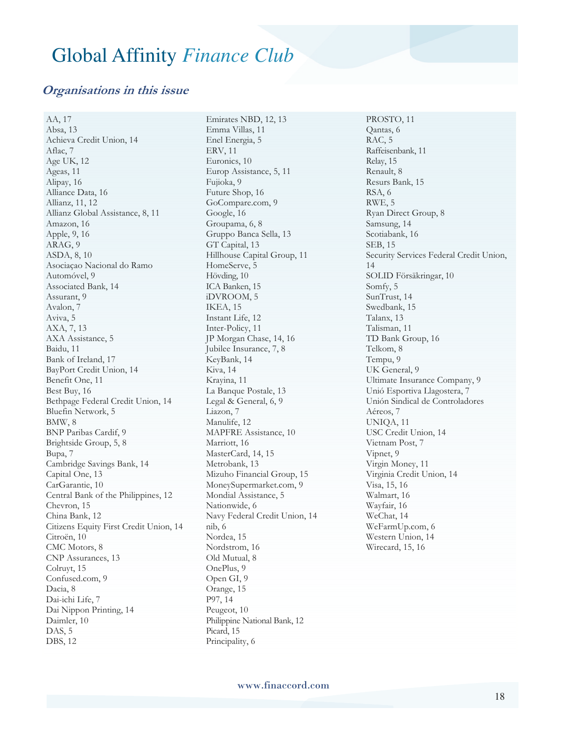#### **Organisations in this issue**

AA, 17 Absa, 13 Achieva Credit Union, 14 Aflac, 7 Age UK, 12 Ageas, 11 Alipay, 16 Alliance Data, 16 Allianz, 11, 12 Allianz Global Assistance, 8, 11 Amazon, 16 Apple, 9, 16 ARAG, 9 ASDA, 8, 10 Asociaçao Nacional do Ramo Automóvel, 9 Associated Bank, 14 Assurant, 9 Avalon, 7 Aviva, 5 AXA, 7, 13 AXA Assistance, 5 Baidu, 11 Bank of Ireland, 17 BayPort Credit Union, 14 Benefit One, 11 Best Buy, 16 Bethpage Federal Credit Union, 14 Bluefin Network, 5 BMW, 8 BNP Paribas Cardif, 9 Brightside Group, 5, 8 Bupa, 7 Cambridge Savings Bank, 14 Capital One, 13 CarGarantie, 10 Central Bank of the Philippines, 12 Chevron, 15 China Bank, 12 Citizens Equity First Credit Union, 14 Citroën, 10 CMC Motors, 8 CNP Assurances, 13 Colruyt, 15 Confused.com, 9 Dacia, 8 Dai-ichi Life, 7 Dai Nippon Printing, 14 Daimler, 10 DAS, 5 DBS, 12

Emirates NBD, 12, 13 Emma Villas, 11 Enel Energia, 5 ERV, 11 Euronics, 10 Europ Assistance, 5, 11 Fujioka, 9 Future Shop, 16 GoCompare.com, 9 Google, 16 Groupama, 6, 8 Gruppo Banca Sella, 13 GT Capital, 13 Hillhouse Capital Group, 11 HomeServe, 5 Hövding, 10 ICA Banken, 15 iDVROOM, 5 IKEA, 15 Instant Life, 12 Inter-Policy, 11 JP Morgan Chase, 14, 16 Jubilee Insurance, 7, 8 KeyBank, 14 Kiva, 14 Krayina, 11 La Banque Postale, 13 Legal & General, 6, 9 Liazon, 7 Manulife, 12 MAPFRE Assistance, 10 Marriott, 16 MasterCard, 14, 15 Metrobank, 13 Mizuho Financial Group, 15 MoneySupermarket.com, 9 Mondial Assistance, 5 Nationwide, 6 Navy Federal Credit Union, 14 nib, 6 Nordea, 15 Nordstrom, 16 Old Mutual, 8 OnePlus, 9 Open GI, 9 Orange, 15 P97, 14 Peugeot, 10 Philippine National Bank, 12 Picard, 15 Principality, 6

PROSTO, 11 Qantas, 6 RAC, 5 Raffeisenbank, 11 Relay, 15 Renault, 8 Resurs Bank, 15 RSA, 6 RWE, 5 Ryan Direct Group, 8 Samsung, 14 Scotiabank, 16 SEB, 15 Security Services Federal Credit Union, 14 SOLID Försäkringar, 10 Somfy, 5 SunTrust, 14 Swedbank, 15 Talanx, 13 Talisman, 11 TD Bank Group, 16 Telkom, 8 Tempu, 9 UK General, 9 Ultimate Insurance Company, 9 Unió Esportiva Llagostera, 7 Unión Sindical de Controladores Aéreos, 7 UNIQA, 11 USC Credit Union, 14 Vietnam Post, 7 Vipnet, 9 Virgin Money, 11 Virginia Credit Union, 14 Visa, 15, 16 Walmart, 16 Wayfair, 16 WeChat, 14 WeFarmUp.com, 6 Western Union, 14 Wirecard, 15, 16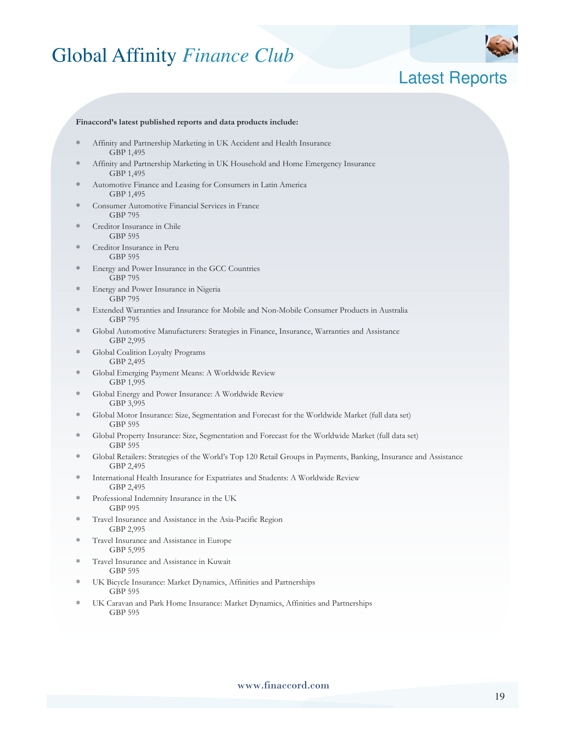

### Latest Reports

#### **Finaccord's latest published reports and data products include:**

- Affinity and Partnership Marketing in UK Accident and Health Insurance GBP 1,495
- Affinity and Partnership Marketing in UK Household and Home Emergency Insurance GBP 1,495
- Automotive Finance and Leasing for Consumers in Latin America GBP 1,495
- Consumer Automotive Financial Services in France GBP 795
- Creditor Insurance in Chile GBP 595
- Creditor Insurance in Peru GBP 595
- Energy and Power Insurance in the GCC Countries GBP 795
- Energy and Power Insurance in Nigeria GBP 795
- ∗ Extended Warranties and Insurance for Mobile and Non-Mobile Consumer Products in Australia GBP 795
- ∗ Global Automotive Manufacturers: Strategies in Finance, Insurance, Warranties and Assistance GBP 2,995
- ∗ Global Coalition Loyalty Programs GBP 2,495
- ∗ Global Emerging Payment Means: A Worldwide Review GBP 1,995
- ∗ Global Energy and Power Insurance: A Worldwide Review GBP 3,995
- ∗ Global Motor Insurance: Size, Segmentation and Forecast for the Worldwide Market (full data set) GBP 595
- ∗ Global Property Insurance: Size, Segmentation and Forecast for the Worldwide Market (full data set) GBP 595
- ∗ Global Retailers: Strategies of the World's Top 120 Retail Groups in Payments, Banking, Insurance and Assistance GBP 2,495
- International Health Insurance for Expatriates and Students: A Worldwide Review GBP 2,495
- ∗ Professional Indemnity Insurance in the UK GBP 995
- ∗ Travel Insurance and Assistance in the Asia-Pacific Region GBP 2,995
- ∗ Travel Insurance and Assistance in Europe GBP 5,995
- Travel Insurance and Assistance in Kuwait GBP 595
- UK Bicycle Insurance: Market Dynamics, Affinities and Partnerships GBP 595
- UK Caravan and Park Home Insurance: Market Dynamics, Affinities and Partnerships GBP 595